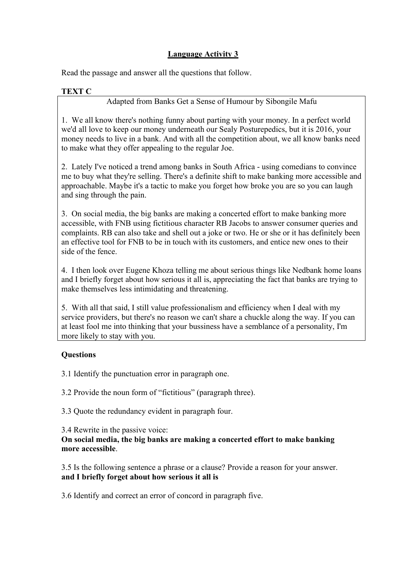## **Language Activity 3**

Read the passage and answer all the questions that follow.

## **TEXT C**

Adapted from Banks Get a Sense of Humour by Sibongile Mafu

1. We all know there's nothing funny about parting with your money. In a perfect world we'd all love to keep our money underneath our Sealy Posturepedics, but it is 2016, your money needs to live in a bank. And with all the competition about, we all know banks need to make what they offer appealing to the regular Joe.

2. Lately I've noticed a trend among banks in South Africa - using comedians to convince me to buy what they're selling. There's a definite shift to make banking more accessible and approachable. Maybe it's a tactic to make you forget how broke you are so you can laugh and sing through the pain.

3. On social media, the big banks are making a concerted effort to make banking more accessible, with FNB using fictitious character RB Jacobs to answer consumer queries and complaints. RB can also take and shell out a joke or two. He or she or it has definitely been an effective tool for FNB to be in touch with its customers, and entice new ones to their side of the fence.

4. I then look over Eugene Khoza telling me about serious things like Nedbank home loans and I briefly forget about how serious it all is, appreciating the fact that banks are trying to make themselves less intimidating and threatening.

5. With all that said, I still value professionalism and efficiency when I deal with my service providers, but there's no reason we can't share a chuckle along the way. If you can at least fool me into thinking that your bussiness have a semblance of a personality, I'm more likely to stay with you.

## **Questions**

3.1 Identify the punctuation error in paragraph one.

3.2 Provide the noun form of "fictitious" (paragraph three).

3.3 Quote the redundancy evident in paragraph four.

3.4 Rewrite in the passive voice:

**On social media, the big banks are making a concerted effort to make banking more accessible**.

3.5 Is the following sentence a phrase or a clause? Provide a reason for your answer. **and I briefly forget about how serious it allis**

3.6 Identify and correct an error of concord in paragraph five.